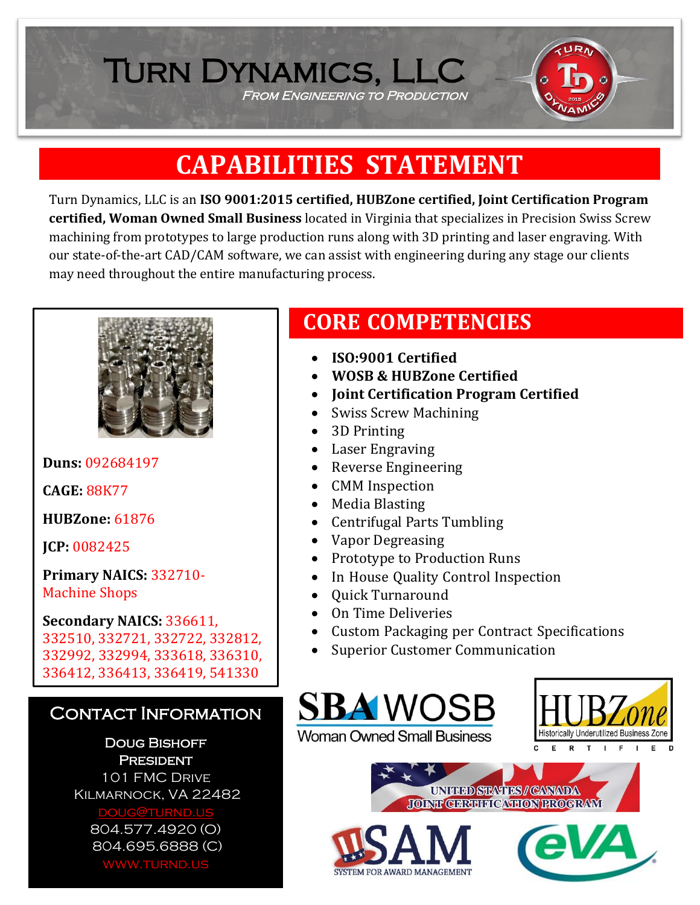# **CAPABILITIES STATEMENT**

FROM ENGINEERING TO PRODUCTION

Turn Dynamics, LLC

Turn Dynamics, LLC is an **ISO 9001:2015 certified, HUBZone certified, Joint Certification Program certified, Woman Owned Small Business** located in Virginia that specializes in Precision Swiss Screw machining from prototypes to large production runs along with 3D printing and laser engraving. With our state-of-the-art CAD/CAM software, we can assist with engineering during any stage our clients may need throughout the entire manufacturing process.



**Duns:** 092684197

**CAGE:** 88K77

**HUBZone:** 61876

**JCP:** 0082425

**Primary NAICS:** 332710- Machine Shops

**Secondary NAICS:** 336611, 332510, 332721, 332722, 332812, 332992, 332994, 333618, 336310, 336412, 336413, 336419, 541330

#### Contact Information

Doug Bishoff **PRESIDENT** 101 FMC Drive Kilmarnock, VA 22482 [doug@turnd.us](mailto:doug@turnd.us) 804.577.4920 (O) 804.695.6888 (C) www.turnd.us

### **CORE COMPETENCIES**

- **ISO:9001 Certified**
- **WOSB & HUBZone Certified**
- **Joint Certification Program Certified**
- Swiss Screw Machining
- 3D Printing
- Laser Engraving
- Reverse Engineering
- CMM Inspection
- Media Blasting
- Centrifugal Parts Tumbling
- Vapor Degreasing
- Prototype to Production Runs
- In House Quality Control Inspection
- Quick Turnaround
- On Time Deliveries
- Custom Packaging per Contract Specifications
- Superior Customer Communication





UNITED STATES / CARADA **JOINT CERTHEL CATION PROGRAM**